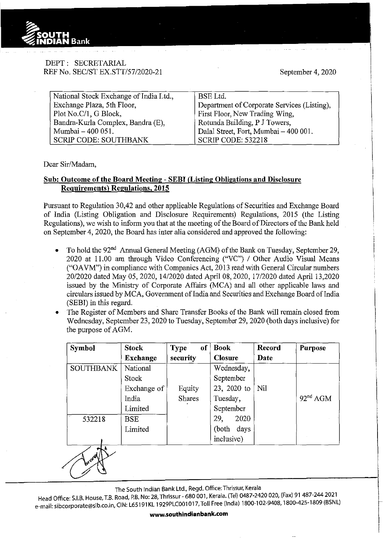

## DEPT: SECRETARIAL REF No. SEC/ST EX.STT/57/2020-21

September 4, 2020

i i<br>i<br>i

| National Stock Exchange of India Ltd., | BSE Ltd.                                    |
|----------------------------------------|---------------------------------------------|
| Exchange Plaza, 5th Floor,             | Department of Corporate Services (Listing), |
| Plot No.C/1, G Block,                  | First Floor, New Trading Wing,              |
| Bandra-Kurla Complex, Bandra (E),      | Rotunda Building, P J Towers,               |
| Mumbai - 400 051.                      | Dalal Street, Fort, Mumbai - 400 001.       |
| <b>SCRIP CODE: SOUTHBANK</b>           | SCRIP CODE: 532218                          |

Dear Sir/Madam,

## **Sub: Outcome of the Board Meeting- SEBI (Listing Obligations and Disclosure Requirements) Regulations, 2015**

Pursuant to Regulation 30,42 and other applicable Regulations of Securities and Exchange Board of India (Listing Obligation and Disclosure Requirements) Regulations, 2015 (the Listing Regulations), we wish to inform you that at the meeting of the Board of Directors of the Bank held on September 4, 2020, the Board has inter alia considered and approved the following:

- To hold the 92<sup>nd</sup> Annual General Meeting (AGM) of the Bank on Tuesday, September 29, 2020 at 11.00 am through Video Conferencing ("VC") I Other Audio Visual Means ("OAVM") in compliance with Companies Act, 2013 read with General Circular numbers 20/2020 dated May 05, 2020, 14/2020 dated April 08, 2020, 17/2020 dated April 13,2020 issued by the Ministry of Corporate Affairs (MCA) and all other applicable laws and circulars issued by MCA, Govermnent ofindia and Securities and Exchange Board ofindia (SEBI) in this regard.
- The Register of Members and Share Transfer Books of the Bank will remain closed from Wednesday, September 23,2020 to Tuesday, September 29,2020 (both days inclusive) for the purpose of AGM.

| <b>Symbol</b>    | <b>Stock</b>    | of<br><b>Type</b> | <b>Book</b>    | <b>Record</b> | <b>Purpose</b>       |
|------------------|-----------------|-------------------|----------------|---------------|----------------------|
|                  | <b>Exchange</b> | security          | <b>Closure</b> | Date          |                      |
| <b>SOUTHBANK</b> | National        |                   | Wednesday,     |               |                      |
|                  | <b>Stock</b>    |                   | September      |               |                      |
|                  | Exchange of     | Equity            | 23, 2020 to    | Nil           |                      |
|                  | India           | <b>Shares</b>     | Tuesday,       |               | 92 <sup>nd</sup> AGM |
|                  | Limited         |                   | September      |               |                      |
| 532218           | <b>BSE</b>      |                   | 29,<br>2020    |               |                      |
|                  | Limited         |                   | (both days)    |               |                      |
|                  |                 |                   | inclusive)     |               |                      |
| <i>Wram</i>      |                 |                   |                |               |                      |

The South Indian Bank Ltd., Regd. Office: Thrissur, Kerala

Head Office: S.I.B. House, T.B. Road, P.B. No: 28, Thrissur- 680 001, Kerala. (Tel) 0487-2420 020, (Fax) 91 487-244 2021 e-mail: sibcorporate@sib.co.in, CIN: L65191 KL 1929PLC001 017, Toll Free (India) 1800-102-9408, 1800-425-1809 (BSNL)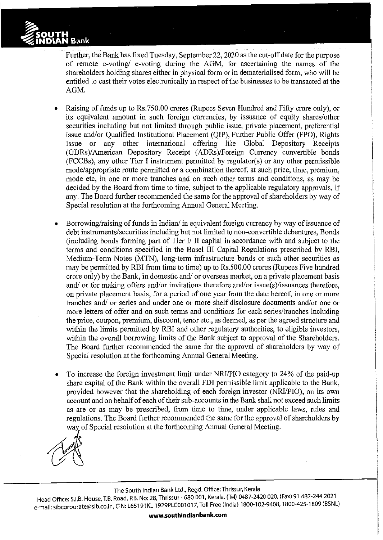

Further, the Bank has fixed Tuesday, September 22, 2020 as the cut-off date for the purpose of remote e-voting/ e-voting during the AGM, for ascertaining the names of the shareholders holding shares either in physical form or in dematerialised form, who will be entitled to cast their votes electronically in respect of the businesses to be transacted at the AGM.

- Raising of funds up to Rs.750.00 crores (Rupees Seven Hundred and Fifty crore only), or its equivalent amount in such foreign currencies, by issuance of equity shares/other securities including but not limited through public issue, private placement, preferential issue and/or Qualified Institutional Placement (QIP), Further Public Offer (FPO), Rights Issue or any other international offering like Global Depository Receipts (GDRs)/American Depository Receipt (ADRs)/Foreign Currency convertible bonds (FCCBs ), any other Tier I instrument permitted by regulator( s) or any other permissible mode/appropriate route permitted or a combination thereof, at such price, time, premium, mode etc, in one or more tranches and on such other terms and conditions, as may be decided by the Board from time to time, subject to the applicable regulatory approvals, if any. The Board further recommended the same for the approval of shareholders by way of Special resolution at the forthcoming Annual General Meeting.
- Borrowing/raising of funds in Indian/ in equivalent foreign currency by way of issuance of debt instruments/securities including but not limited to non-convertible debentures, Bonds (including bonds forming part of Tier I/ II capital in accordance with and subject to the terms and conditions specified in the Basel III Capital Regulations prescribed by RBI, Medium-Term Notes (MTN), long-term infrastructure bonds or such other securities as may be permitted by RBI from time to time) up to Rs.SOO.OO crores (Rupees Five hundred crore only) by the Bank, in domestic and/ or overseas market, on a private placement basis and/ or for making offers and/or invitations therefore and/or issue(s)/issuances therefore, on private placement basis, for a period of one year from the date hereof, in one or more tranches and/ or series and under one or more shelf disclosure documents and/or one or more letters of offer and on such terms and conditions for each series/tranches including the price, coupon, premium, discount, tenor etc., as deemed, as per the agreed structure and within the limits permitted by RBI and other regulatory authorities, to eligible investors, within the overall borrowing limits of the Bank subject to approval of the Shareholders. The Board further recommended the same for the approval of shareholders by way of Special resolution at the forthcoming Annual General Meeting.
- To increase the foreign investment limit under NRI/PIO category to 24% of the paid-up share capital of the Bank within the overall FDI permissible limit applicable to the Bank, provided however that the shareholding of each foreign investor (NRI/PIO), on its own account and on behalf of each of their sub-accounts in the Bank shall not exceed such limits as are or as may be prescribed, from time to time, under applicable laws, rules and regulations. The Board further recommended the same for the approval of shareholders by way of Special resolution at the forthcoming Annual General Meeting.



The South Indian Bank Ltd., Regd. Office: Thrissur, Kerala

Head Office: S.I.B. House, T.B. Road, P.B. No: 28, Thrissur- 680 001, Kerala. (Tel) 0487-2420 020, (Fax) 91 487-244 2021 e-mail: sibcorporate@sib.co.in, CIN: L65191 KL 1929PLC001 017, Toll Free (India) 1800-102-9408, 1800-425-1809 (BSNL)